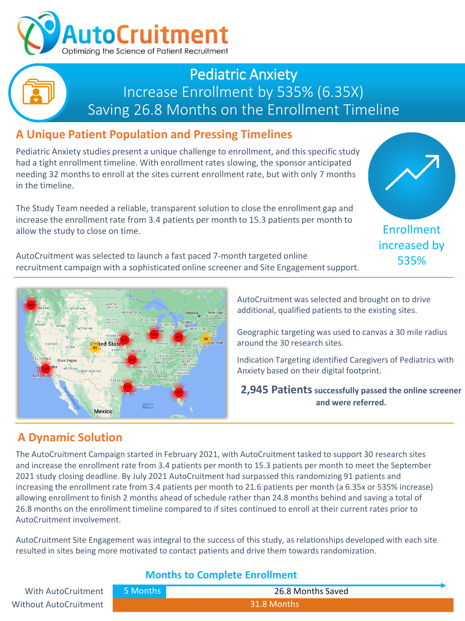

## Pediatric Anxiety Increase Enrollment by 535% (6.35X) Saving 26.8 Months on the Enrollment Timeline

## **A Unique Patient Population and Pressing Timelines**

Pediatric Anxiety studies present a unique challenge to enrollment, and this specific study had a tight enrollment timeline. With enrollment rates slowing, the sponsor anticipated needing 32 months to enroll at the sites current enrollment rate, but with only 7 months in the timeline.

The Study Team needed a reliable, transparent solution to close the enrollment gap and increase the enrollment rate from 3.4 patients per month to 15.3 patients per month to allow the study to close on time.

AutoCruitment was selected to launch a fast paced 7-month targeted online recruitment campaign with a sophisticated online screener and Site Engagement support.





AutoCruitment was selected and brought on to drive additional, qualified patients to the existing sites.

Geographic targeting was used to canvas a 30 mile radius around the 30 research sites.

Indication Targeting identified Caregivers of Pediatrics with Anxiety based on their digital footprint.

**2,945 Patients successfully passed the online screener and were referred.**

## **A Dynamic Solution**

The AutoCruitment Campaign started in February 2021, with AutoCruitment tasked to support 30 research sites and increase the enrollment rate from 3.4 patients per month to 15.3 patients per month to meet the September 2021 study closing deadline. By July 2021 AutoCruitment had surpassed this randomizing 91 patients and increasing the enrollment rate from 3.4 patients per month to 21.6 patients per month (a 6.35x or 535% increase) allowing enrollment to finish 2 months ahead of schedule rather than 24.8 months behind and saving a total of 26.8 months on the enrollment timeline compared to if sites continued to enroll at their current rates prior to AutoCruitment involvement.

AutoCruitment Site Engagement was integral to the success of this study, as relationships developed with each site resulted in sites being more motivated to contact patients and drive them towards randomization.

#### **Months to Complete Enrollment**

| With AutoCruitment    | 5 Months | 26.8 Months Saved |
|-----------------------|----------|-------------------|
| Without AutoCruitment |          | 31.8 Months       |